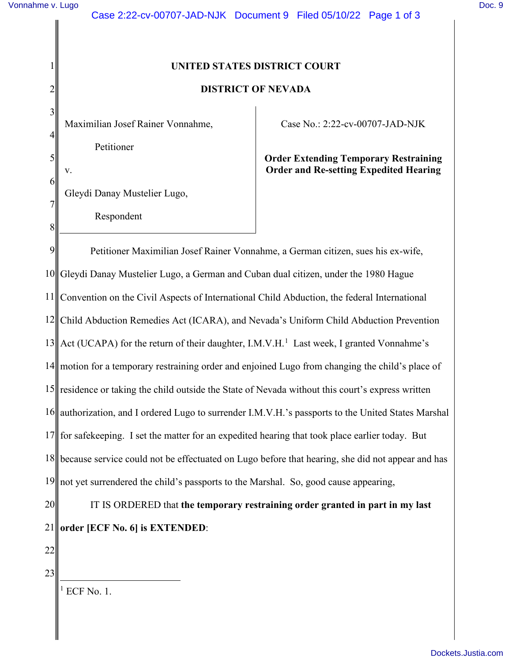1

2

3

4

5

6

v.

7

8

## **UNITED STATES DISTRICT COURT**

## **DISTRICT OF NEVADA**

Maximilian Josef Rainer Vonnahme, Petitioner

Gleydi Danay Mustelier Lugo,

Respondent

Case No.: 2:22-cv-00707-JAD-NJK

**Order Extending Temporary Restraining Order and Re-setting Expedited Hearing** 

9 10 11 12 Child Abduction Remedies Act (ICARA), and Nevada's Uniform Child Abduction Prevention  $13$  Act (UCAPA) for the return of their daughter, I.M.V.H.<sup>1</sup> Last week, I granted Vonnahme's 14 15 residence or taking the child outside the State of Nevada without this court's express written 16 17 18 because service could not be effectuated on Lugo before that hearing, she did not appear and has 19 20 Petitioner Maximilian Josef Rainer Vonnahme, a German citizen, sues his ex-wife, Gleydi Danay Mustelier Lugo, a German and Cuban dual citizen, under the 1980 Hague Convention on the Civil Aspects of International Child Abduction, the federal International motion for a temporary restraining order and enjoined Lugo from changing the child's place of authorization, and I ordered Lugo to surrender I.M.V.H.'s passports to the United States Marshal for safekeeping. I set the matter for an expedited hearing that took place earlier today. But not yet surrendered the child's passports to the Marshal. So, good cause appearing, IT IS ORDERED that **the temporary restraining order granted in part in my last** 

22

21

23

 $<sup>1</sup>$  ECF No. 1.</sup>

**order [ECF No. 6] is EXTENDED**: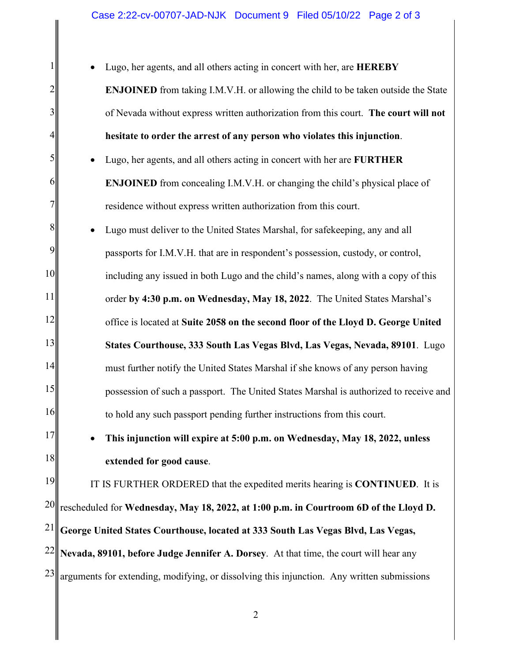1 2 3 4 5 6 7 8 9 10 11 12 13 14 15 16 17 18 19 20 21 22 • Lugo, her agents, and all others acting in concert with her, are **HEREBY ENJOINED** from taking I.M.V.H. or allowing the child to be taken outside the State of Nevada without express written authorization from this court. **The court will not hesitate to order the arrest of any person who violates this injunction**. • Lugo, her agents, and all others acting in concert with her are **FURTHER ENJOINED** from concealing I.M.V.H. or changing the child's physical place of residence without express written authorization from this court. • Lugo must deliver to the United States Marshal, for safekeeping, any and all passports for I.M.V.H. that are in respondent's possession, custody, or control, including any issued in both Lugo and the child's names, along with a copy of this order **by 4:30 p.m. on Wednesday, May 18, 2022**. The United States Marshal's office is located at **Suite 2058 on the second floor of the Lloyd D. George United States Courthouse, 333 South Las Vegas Blvd, Las Vegas, Nevada, 89101**. Lugo must further notify the United States Marshal if she knows of any person having possession of such a passport. The United States Marshal is authorized to receive and to hold any such passport pending further instructions from this court. • **This injunction will expire at 5:00 p.m. on Wednesday, May 18, 2022, unless extended for good cause**. IT IS FURTHER ORDERED that the expedited merits hearing is **CONTINUED**.It is rescheduled for **Wednesday, May 18, 2022, at 1:00 p.m. in Courtroom 6D of the Lloyd D. George United States Courthouse, located at 333 South Las Vegas Blvd, Las Vegas, Nevada, 89101, before Judge Jennifer A. Dorsey**. At that time, the court will hear any

23 arguments for extending, modifying, or dissolving this injunction. Any written submissions